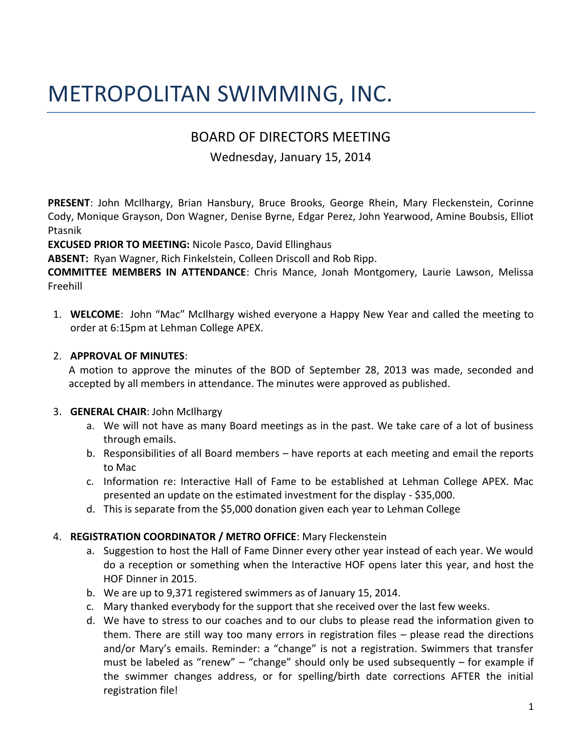# METROPOLITAN SWIMMING, INC.

# BOARD OF DIRECTORS MEETING

# Wednesday, January 15, 2014

**PRESENT**: John McIlhargy, Brian Hansbury, Bruce Brooks, George Rhein, Mary Fleckenstein, Corinne Cody, Monique Grayson, Don Wagner, Denise Byrne, Edgar Perez, John Yearwood, Amine Boubsis, Elliot Ptasnik

**EXCUSED PRIOR TO MEETING:** Nicole Pasco, David Ellinghaus

**ABSENT:** Ryan Wagner, Rich Finkelstein, Colleen Driscoll and Rob Ripp.

**COMMITTEE MEMBERS IN ATTENDANCE**: Chris Mance, Jonah Montgomery, Laurie Lawson, Melissa Freehill

1. **WELCOME**: John "Mac" McIlhargy wished everyone a Happy New Year and called the meeting to order at 6:15pm at Lehman College APEX.

### 2. **APPROVAL OF MINUTES**:

A motion to approve the minutes of the BOD of September 28, 2013 was made, seconded and accepted by all members in attendance. The minutes were approved as published.

### 3. **GENERAL CHAIR**: John McIlhargy

- a. We will not have as many Board meetings as in the past. We take care of a lot of business through emails.
- b. Responsibilities of all Board members have reports at each meeting and email the reports to Mac
- c. Information re: Interactive Hall of Fame to be established at Lehman College APEX. Mac presented an update on the estimated investment for the display - \$35,000.
- d. This is separate from the \$5,000 donation given each year to Lehman College

### 4. **REGISTRATION COORDINATOR / METRO OFFICE**: Mary Fleckenstein

- a. Suggestion to host the Hall of Fame Dinner every other year instead of each year. We would do a reception or something when the Interactive HOF opens later this year, and host the HOF Dinner in 2015.
- b. We are up to 9,371 registered swimmers as of January 15, 2014.
- c. Mary thanked everybody for the support that she received over the last few weeks.
- d. We have to stress to our coaches and to our clubs to please read the information given to them. There are still way too many errors in registration files – please read the directions and/or Mary's emails. Reminder: a "change" is not a registration. Swimmers that transfer must be labeled as "renew" – "change" should only be used subsequently – for example if the swimmer changes address, or for spelling/birth date corrections AFTER the initial registration file!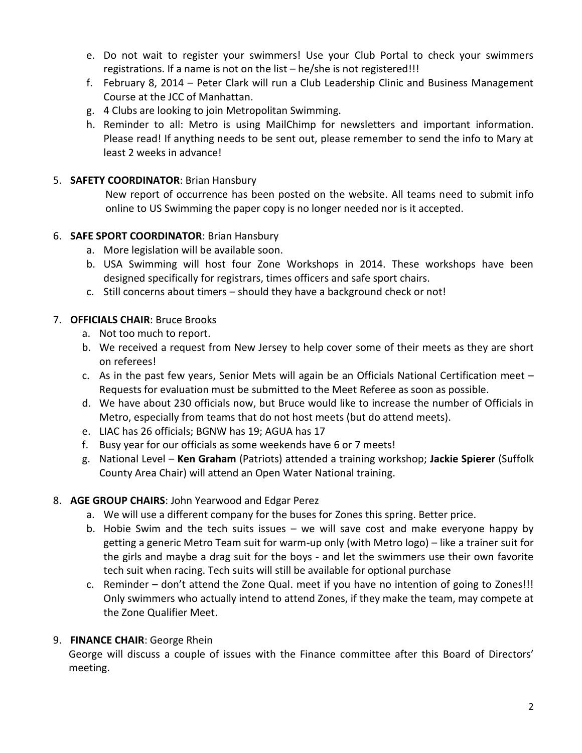- e. Do not wait to register your swimmers! Use your Club Portal to check your swimmers registrations. If a name is not on the list – he/she is not registered!!!
- f. February 8, 2014 Peter Clark will run a Club Leadership Clinic and Business Management Course at the JCC of Manhattan.
- g. 4 Clubs are looking to join Metropolitan Swimming.
- h. Reminder to all: Metro is using MailChimp for newsletters and important information. Please read! If anything needs to be sent out, please remember to send the info to Mary at least 2 weeks in advance!

### 5. **SAFETY COORDINATOR**: Brian Hansbury

New report of occurrence has been posted on the website. All teams need to submit info online to US Swimming the paper copy is no longer needed nor is it accepted.

#### 6. **SAFE SPORT COORDINATOR**: Brian Hansbury

- a. More legislation will be available soon.
- b. USA Swimming will host four Zone Workshops in 2014. These workshops have been designed specifically for registrars, times officers and safe sport chairs.
- c. Still concerns about timers should they have a background check or not!

### 7. **OFFICIALS CHAIR**: Bruce Brooks

- a. Not too much to report.
- b. We received a request from New Jersey to help cover some of their meets as they are short on referees!
- c. As in the past few years, Senior Mets will again be an Officials National Certification meet Requests for evaluation must be submitted to the Meet Referee as soon as possible.
- d. We have about 230 officials now, but Bruce would like to increase the number of Officials in Metro, especially from teams that do not host meets (but do attend meets).
- e. LIAC has 26 officials; BGNW has 19; AGUA has 17
- f. Busy year for our officials as some weekends have 6 or 7 meets!
- g. National Level **Ken Graham** (Patriots) attended a training workshop; **Jackie Spierer** (Suffolk County Area Chair) will attend an Open Water National training.

### 8. **AGE GROUP CHAIRS**: John Yearwood and Edgar Perez

- a. We will use a different company for the buses for Zones this spring. Better price.
- b. Hobie Swim and the tech suits issues we will save cost and make everyone happy by getting a generic Metro Team suit for warm-up only (with Metro logo) – like a trainer suit for the girls and maybe a drag suit for the boys - and let the swimmers use their own favorite tech suit when racing. Tech suits will still be available for optional purchase
- c. Reminder don't attend the Zone Qual. meet if you have no intention of going to Zones!!! Only swimmers who actually intend to attend Zones, if they make the team, may compete at the Zone Qualifier Meet.

### 9. **FINANCE CHAIR**: George Rhein

George will discuss a couple of issues with the Finance committee after this Board of Directors' meeting.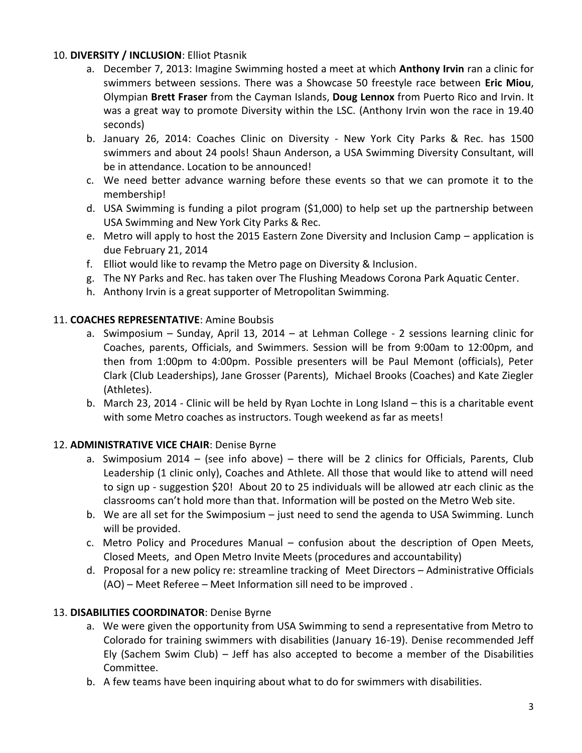## 10. **DIVERSITY / INCLUSION**: Elliot Ptasnik

- a. December 7, 2013: Imagine Swimming hosted a meet at which **Anthony Irvin** ran a clinic for swimmers between sessions. There was a Showcase 50 freestyle race between **Eric Miou**, Olympian **Brett Fraser** from the Cayman Islands, **Doug Lennox** from Puerto Rico and Irvin. It was a great way to promote Diversity within the LSC. (Anthony Irvin won the race in 19.40 seconds)
- b. January 26, 2014: Coaches Clinic on Diversity New York City Parks & Rec. has 1500 swimmers and about 24 pools! Shaun Anderson, a USA Swimming Diversity Consultant, will be in attendance. Location to be announced!
- c. We need better advance warning before these events so that we can promote it to the membership!
- d. USA Swimming is funding a pilot program (\$1,000) to help set up the partnership between USA Swimming and New York City Parks & Rec.
- e. Metro will apply to host the 2015 Eastern Zone Diversity and Inclusion Camp application is due February 21, 2014
- f. Elliot would like to revamp the Metro page on Diversity & Inclusion.
- g. The NY Parks and Rec. has taken over The Flushing Meadows Corona Park Aquatic Center.
- h. Anthony Irvin is a great supporter of Metropolitan Swimming.

### 11. **COACHES REPRESENTATIVE**: Amine Boubsis

- a. Swimposium Sunday, April 13, 2014 at Lehman College 2 sessions learning clinic for Coaches, parents, Officials, and Swimmers. Session will be from 9:00am to 12:00pm, and then from 1:00pm to 4:00pm. Possible presenters will be Paul Memont (officials), Peter Clark (Club Leaderships), Jane Grosser (Parents), Michael Brooks (Coaches) and Kate Ziegler (Athletes).
- b. March 23, 2014 Clinic will be held by Ryan Lochte in Long Island this is a charitable event with some Metro coaches as instructors. Tough weekend as far as meets!

# 12. **ADMINISTRATIVE VICE CHAIR**: Denise Byrne

- a. Swimposium 2014 (see info above) there will be 2 clinics for Officials, Parents, Club Leadership (1 clinic only), Coaches and Athlete. All those that would like to attend will need to sign up - suggestion \$20! About 20 to 25 individuals will be allowed atr each clinic as the classrooms can't hold more than that. Information will be posted on the Metro Web site.
- b. We are all set for the Swimposium just need to send the agenda to USA Swimming. Lunch will be provided.
- c. Metro Policy and Procedures Manual confusion about the description of Open Meets, Closed Meets, and Open Metro Invite Meets (procedures and accountability)
- d. Proposal for a new policy re: streamline tracking of Meet Directors Administrative Officials (AO) – Meet Referee – Meet Information sill need to be improved .

### 13. **DISABILITIES COORDINATOR**: Denise Byrne

- a. We were given the opportunity from USA Swimming to send a representative from Metro to Colorado for training swimmers with disabilities (January 16-19). Denise recommended Jeff Ely (Sachem Swim Club) – Jeff has also accepted to become a member of the Disabilities Committee.
- b. A few teams have been inquiring about what to do for swimmers with disabilities.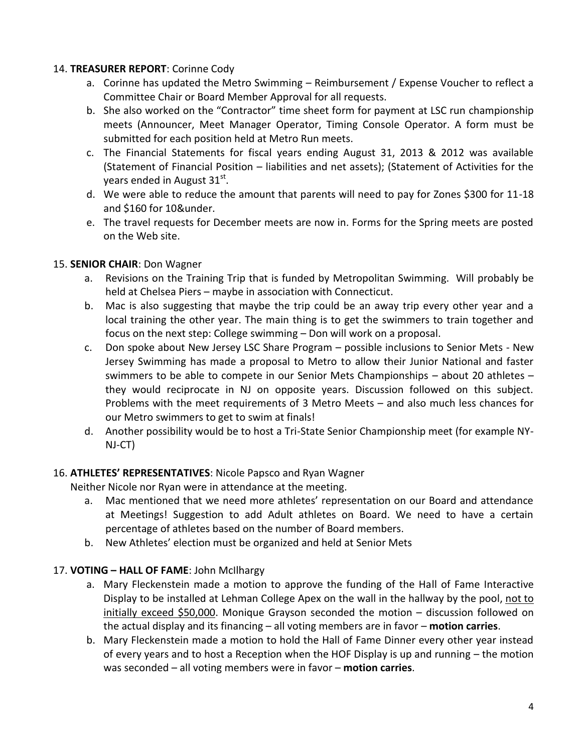#### 14. **TREASURER REPORT**: Corinne Cody

- a. Corinne has updated the Metro Swimming Reimbursement / Expense Voucher to reflect a Committee Chair or Board Member Approval for all requests.
- b. She also worked on the "Contractor" time sheet form for payment at LSC run championship meets (Announcer, Meet Manager Operator, Timing Console Operator. A form must be submitted for each position held at Metro Run meets.
- c. The Financial Statements for fiscal years ending August 31, 2013 & 2012 was available (Statement of Financial Position – liabilities and net assets); (Statement of Activities for the years ended in August 31 $^{\rm st}$ .
- d. We were able to reduce the amount that parents will need to pay for Zones \$300 for 11-18 and \$160 for 10&under.
- e. The travel requests for December meets are now in. Forms for the Spring meets are posted on the Web site.

### 15. **SENIOR CHAIR**: Don Wagner

- a. Revisions on the Training Trip that is funded by Metropolitan Swimming. Will probably be held at Chelsea Piers – maybe in association with Connecticut.
- b. Mac is also suggesting that maybe the trip could be an away trip every other year and a local training the other year. The main thing is to get the swimmers to train together and focus on the next step: College swimming – Don will work on a proposal.
- c. Don spoke about New Jersey LSC Share Program possible inclusions to Senior Mets New Jersey Swimming has made a proposal to Metro to allow their Junior National and faster swimmers to be able to compete in our Senior Mets Championships – about 20 athletes – they would reciprocate in NJ on opposite years. Discussion followed on this subject. Problems with the meet requirements of 3 Metro Meets – and also much less chances for our Metro swimmers to get to swim at finals!
- d. Another possibility would be to host a Tri-State Senior Championship meet (for example NY-NJ-CT)

### 16. **ATHLETES' REPRESENTATIVES**: Nicole Papsco and Ryan Wagner

Neither Nicole nor Ryan were in attendance at the meeting.

- a. Mac mentioned that we need more athletes' representation on our Board and attendance at Meetings! Suggestion to add Adult athletes on Board. We need to have a certain percentage of athletes based on the number of Board members.
- b. New Athletes' election must be organized and held at Senior Mets

### 17. **VOTING – HALL OF FAME**: John McIlhargy

- a. Mary Fleckenstein made a motion to approve the funding of the Hall of Fame Interactive Display to be installed at Lehman College Apex on the wall in the hallway by the pool, not to initially exceed \$50,000. Monique Grayson seconded the motion – discussion followed on the actual display and its financing – all voting members are in favor – **motion carries**.
- b. Mary Fleckenstein made a motion to hold the Hall of Fame Dinner every other year instead of every years and to host a Reception when the HOF Display is up and running – the motion was seconded – all voting members were in favor – **motion carries**.